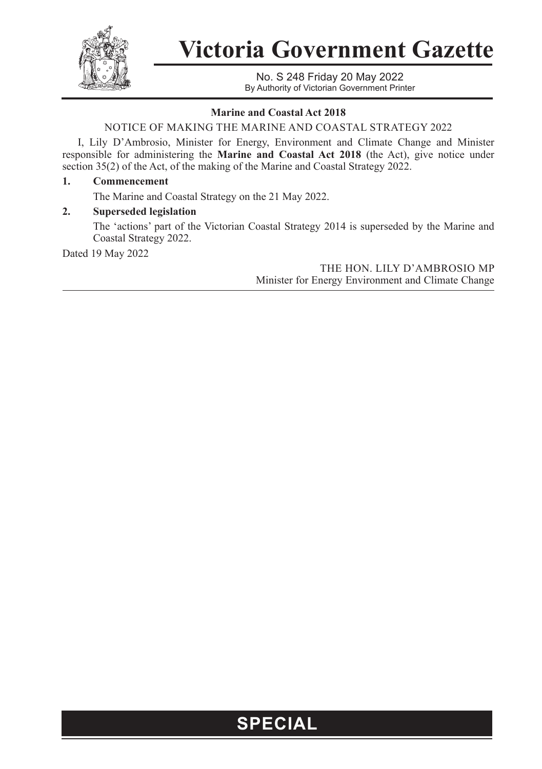

**Victoria Government Gazette**

No. S 248 Friday 20 May 2022 By Authority of Victorian Government Printer

### **Marine and Coastal Act 2018**

NOTICE OF MAKING THE MARINE AND COASTAL STRATEGY 2022

I, Lily D'Ambrosio, Minister for Energy, Environment and Climate Change and Minister responsible for administering the **Marine and Coastal Act 2018** (the Act), give notice under section 35(2) of the Act, of the making of the Marine and Coastal Strategy 2022.

#### **1. Commencement**

The Marine and Coastal Strategy on the 21 May 2022.

### **2. Superseded legislation**

The 'actions' part of the Victorian Coastal Strategy 2014 is superseded by the Marine and Coastal Strategy 2022.

Dated 19 May 2022

THE HON. LILY D'AMBROSIO MP Minister for Energy Environment and Climate Change

## **SPECIAL**